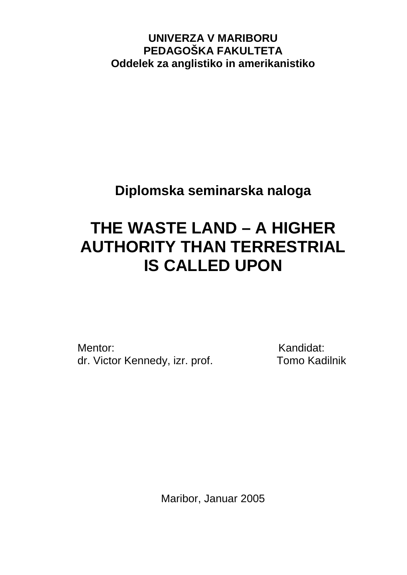**UNIVERZA V MARIBORU PEDAGOŠKA FAKULTETA Oddelek za anglistiko in amerikanistiko**

**Diplomska seminarska naloga** 

# **THE WASTE LAND – A HIGHER AUTHORITY THAN TERRESTRIAL IS CALLED UPON**

Mentor: Kandidat: dr. Victor Kennedy, izr. prof. Tomo Kadilnik

Maribor, Januar 2005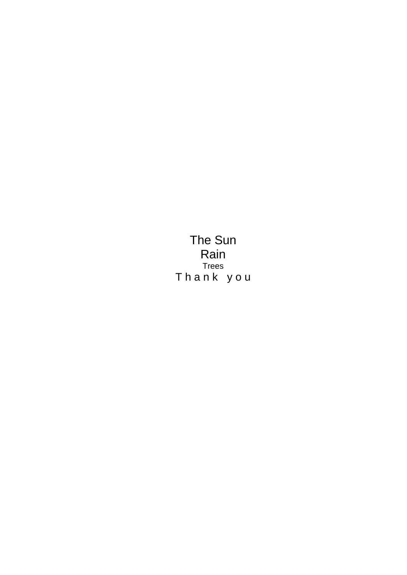The Sun Rain Trees Thank you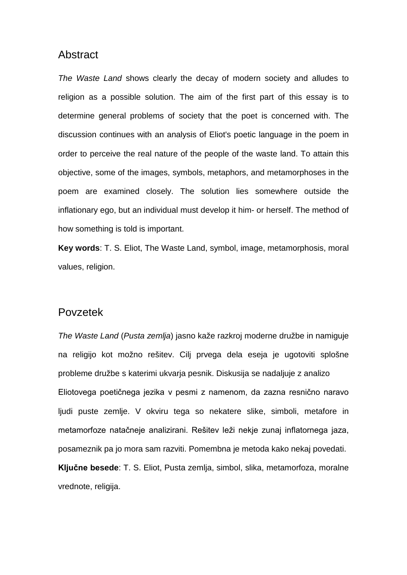### **Abstract**

*The Waste Land* shows clearly the decay of modern society and alludes to religion as a possible solution. The aim of the first part of this essay is to determine general problems of society that the poet is concerned with. The discussion continues with an analysis of Eliot's poetic language in the poem in order to perceive the real nature of the people of the waste land. To attain this objective, some of the images, symbols, metaphors, and metamorphoses in the poem are examined closely. The solution lies somewhere outside the inflationary ego, but an individual must develop it him- or herself. The method of how something is told is important.

**Key words**: T. S. Eliot, The Waste Land, symbol, image, metamorphosis, moral values, religion.

### Povzetek

*The Waste Land* (*Pusta zemlja*) jasno kaže razkroj moderne družbe in namiguje na religijo kot možno rešitev. Cilj prvega dela eseja je ugotoviti splošne probleme družbe s katerimi ukvarja pesnik. Diskusija se nadaljuje z analizo Eliotovega poetičnega jezika v pesmi z namenom, da zazna resnično naravo ljudi puste zemlje. V okviru tega so nekatere slike, simboli, metafore in metamorfoze natačneje analizirani. Rešitev leži nekje zunaj inflatornega jaza, posameznik pa jo mora sam razviti. Pomembna je metoda kako nekaj povedati. **Ključne besede**: T. S. Eliot, Pusta zemlja, simbol, slika, metamorfoza, moralne vrednote, religija.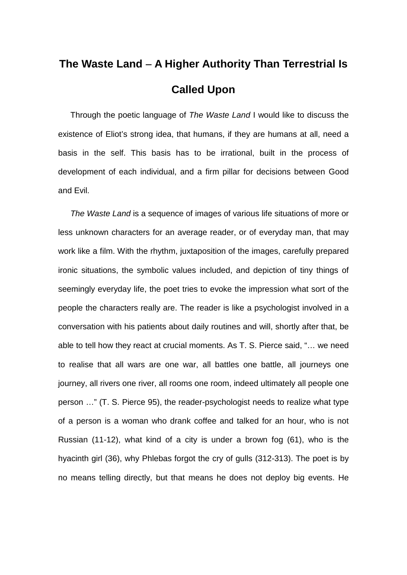## **The Waste Land** − **A Higher Authority Than Terrestrial Is Called Upon**

Through the poetic language of *The Waste Land* I would like to discuss the existence of Eliot's strong idea, that humans, if they are humans at all, need a basis in the self. This basis has to be irrational, built in the process of development of each individual, and a firm pillar for decisions between Good and Evil.

*The Waste Land* is a sequence of images of various life situations of more or less unknown characters for an average reader, or of everyday man, that may work like a film. With the rhythm, juxtaposition of the images, carefully prepared ironic situations, the symbolic values included, and depiction of tiny things of seemingly everyday life, the poet tries to evoke the impression what sort of the people the characters really are. The reader is like a psychologist involved in a conversation with his patients about daily routines and will, shortly after that, be able to tell how they react at crucial moments. As T. S. Pierce said, "… we need to realise that all wars are one war, all battles one battle, all journeys one journey, all rivers one river, all rooms one room, indeed ultimately all people one person …" (T. S. Pierce 95), the reader-psychologist needs to realize what type of a person is a woman who drank coffee and talked for an hour, who is not Russian (11-12), what kind of a city is under a brown fog (61), who is the hyacinth girl (36), why Phlebas forgot the cry of gulls (312-313). The poet is by no means telling directly, but that means he does not deploy big events. He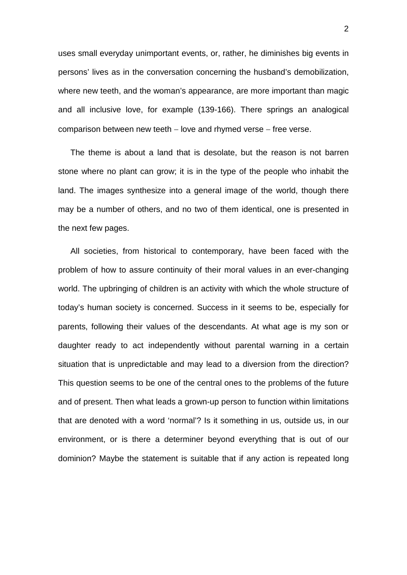uses small everyday unimportant events, or, rather, he diminishes big events in persons' lives as in the conversation concerning the husband's demobilization, where new teeth, and the woman's appearance, are more important than magic and all inclusive love, for example (139-166). There springs an analogical comparison between new teeth – love and rhymed verse – free verse.

The theme is about a land that is desolate, but the reason is not barren stone where no plant can grow; it is in the type of the people who inhabit the land. The images synthesize into a general image of the world, though there may be a number of others, and no two of them identical, one is presented in the next few pages.

All societies, from historical to contemporary, have been faced with the problem of how to assure continuity of their moral values in an ever-changing world. The upbringing of children is an activity with which the whole structure of today's human society is concerned. Success in it seems to be, especially for parents, following their values of the descendants. At what age is my son or daughter ready to act independently without parental warning in a certain situation that is unpredictable and may lead to a diversion from the direction? This question seems to be one of the central ones to the problems of the future and of present. Then what leads a grown-up person to function within limitations that are denoted with a word 'normal'? Is it something in us, outside us, in our environment, or is there a determiner beyond everything that is out of our dominion? Maybe the statement is suitable that if any action is repeated long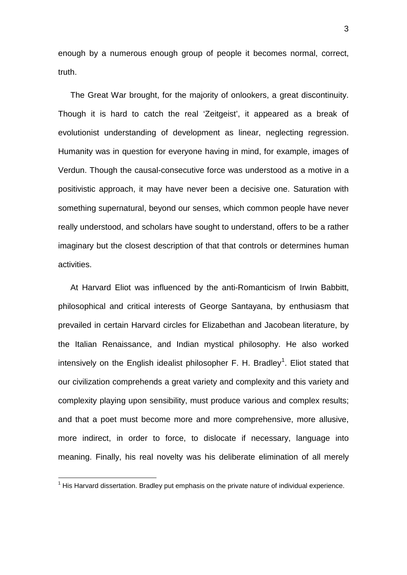enough by a numerous enough group of people it becomes normal, correct, truth.

The Great War brought, for the majority of onlookers, a great discontinuity. Though it is hard to catch the real 'Zeitgeist', it appeared as a break of evolutionist understanding of development as linear, neglecting regression. Humanity was in question for everyone having in mind, for example, images of Verdun. Though the causal-consecutive force was understood as a motive in a positivistic approach, it may have never been a decisive one. Saturation with something supernatural, beyond our senses, which common people have never really understood, and scholars have sought to understand, offers to be a rather imaginary but the closest description of that that controls or determines human activities.

At Harvard Eliot was influenced by the anti-Romanticism of Irwin Babbitt, philosophical and critical interests of George Santayana, by enthusiasm that prevailed in certain Harvard circles for Elizabethan and Jacobean literature, by the Italian Renaissance, and Indian mystical philosophy. He also worked intensively on the English idealist philosopher F. H. Bradley<sup>[1](#page-5-0)</sup>. Eliot stated that our civilization comprehends a great variety and complexity and this variety and complexity playing upon sensibility, must produce various and complex results; and that a poet must become more and more comprehensive, more allusive, more indirect, in order to force, to dislocate if necessary, language into meaning. Finally, his real novelty was his deliberate elimination of all merely

<span id="page-5-0"></span> $1$  His Harvard dissertation. Bradley put emphasis on the private nature of individual experience.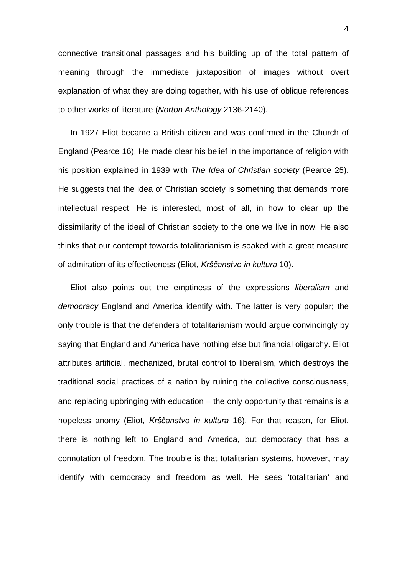connective transitional passages and his building up of the total pattern of meaning through the immediate juxtaposition of images without overt explanation of what they are doing together, with his use of oblique references to other works of literature (*Norton Anthology* 2136-2140).

In 1927 Eliot became a British citizen and was confirmed in the Church of England (Pearce 16). He made clear his belief in the importance of religion with his position explained in 1939 with *The Idea of Christian society* (Pearce 25). He suggests that the idea of Christian society is something that demands more intellectual respect. He is interested, most of all, in how to clear up the dissimilarity of the ideal of Christian society to the one we live in now. He also thinks that our contempt towards totalitarianism is soaked with a great measure of admiration of its effectiveness (Eliot, *Krščanstvo in kultura* 10).

Eliot also points out the emptiness of the expressions *liberalism* and *democracy* England and America identify with. The latter is very popular; the only trouble is that the defenders of totalitarianism would argue convincingly by saying that England and America have nothing else but financial oligarchy. Eliot attributes artificial, mechanized, brutal control to liberalism, which destroys the traditional social practices of a nation by ruining the collective consciousness, and replacing upbringing with education – the only opportunity that remains is a hopeless anomy (Eliot, *Krščanstvo in kultura* 16). For that reason, for Eliot, there is nothing left to England and America, but democracy that has a connotation of freedom. The trouble is that totalitarian systems, however, may identify with democracy and freedom as well. He sees 'totalitarian' and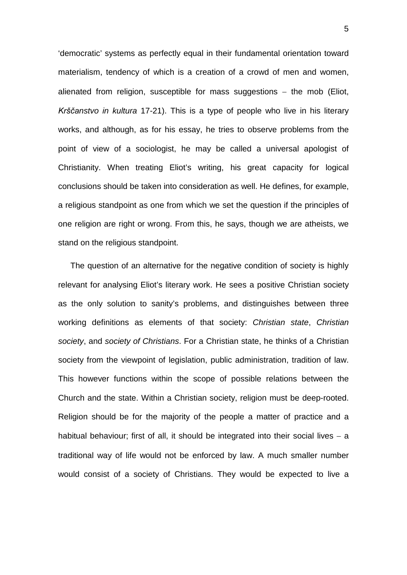'democratic' systems as perfectly equal in their fundamental orientation toward materialism, tendency of which is a creation of a crowd of men and women, alienated from religion, susceptible for mass suggestions – the mob (Eliot, *Krščanstvo in kultura* 17-21). This is a type of people who live in his literary works, and although, as for his essay, he tries to observe problems from the point of view of a sociologist, he may be called a universal apologist of Christianity. When treating Eliot's writing, his great capacity for logical conclusions should be taken into consideration as well. He defines, for example, a religious standpoint as one from which we set the question if the principles of one religion are right or wrong. From this, he says, though we are atheists, we stand on the religious standpoint.

The question of an alternative for the negative condition of society is highly relevant for analysing Eliot's literary work. He sees a positive Christian society as the only solution to sanity's problems, and distinguishes between three working definitions as elements of that society: *Christian state*, *Christian society*, and *society of Christians*. For a Christian state, he thinks of a Christian society from the viewpoint of legislation, public administration, tradition of law. This however functions within the scope of possible relations between the Church and the state. Within a Christian society, religion must be deep-rooted. Religion should be for the majority of the people a matter of practice and a habitual behaviour; first of all, it should be integrated into their social lives – a traditional way of life would not be enforced by law. A much smaller number would consist of a society of Christians. They would be expected to live a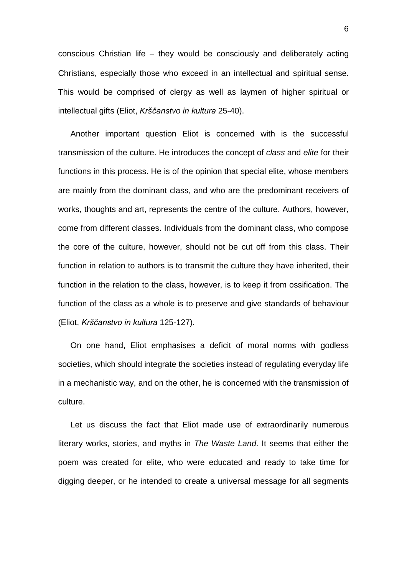conscious Christian life − they would be consciously and deliberately acting Christians, especially those who exceed in an intellectual and spiritual sense. This would be comprised of clergy as well as laymen of higher spiritual or intellectual gifts (Eliot, *Krščanstvo in kultura* 25-40).

Another important question Eliot is concerned with is the successful transmission of the culture. He introduces the concept of *class* and *elite* for their functions in this process. He is of the opinion that special elite, whose members are mainly from the dominant class, and who are the predominant receivers of works, thoughts and art, represents the centre of the culture. Authors, however, come from different classes. Individuals from the dominant class, who compose the core of the culture, however, should not be cut off from this class. Their function in relation to authors is to transmit the culture they have inherited, their function in the relation to the class, however, is to keep it from ossification. The function of the class as a whole is to preserve and give standards of behaviour (Eliot, *Krščanstvo in kultura* 125-127).

On one hand, Eliot emphasises a deficit of moral norms with godless societies, which should integrate the societies instead of regulating everyday life in a mechanistic way, and on the other, he is concerned with the transmission of culture.

Let us discuss the fact that Eliot made use of extraordinarily numerous literary works, stories, and myths in *The Waste Land*. It seems that either the poem was created for elite, who were educated and ready to take time for digging deeper, or he intended to create a universal message for all segments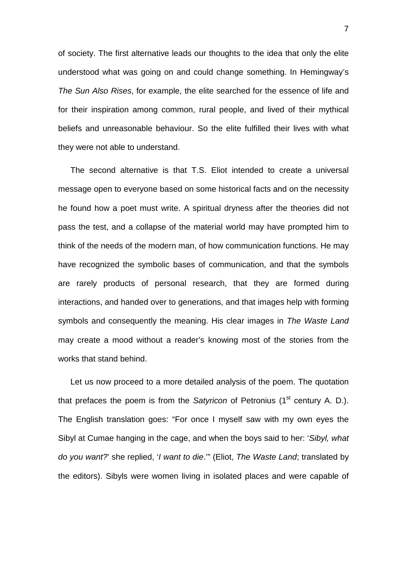of society. The first alternative leads our thoughts to the idea that only the elite understood what was going on and could change something. In Hemingway's *The Sun Also Rises*, for example, the elite searched for the essence of life and for their inspiration among common, rural people, and lived of their mythical beliefs and unreasonable behaviour. So the elite fulfilled their lives with what they were not able to understand.

The second alternative is that T.S. Eliot intended to create a universal message open to everyone based on some historical facts and on the necessity he found how a poet must write. A spiritual dryness after the theories did not pass the test, and a collapse of the material world may have prompted him to think of the needs of the modern man, of how communication functions. He may have recognized the symbolic bases of communication, and that the symbols are rarely products of personal research, that they are formed during interactions, and handed over to generations, and that images help with forming symbols and consequently the meaning. His clear images in *The Waste Land* may create a mood without a reader's knowing most of the stories from the works that stand behind.

Let us now proceed to a more detailed analysis of the poem. The quotation that prefaces the poem is from the *Satyricon* of Petronius (1<sup>st</sup> century A. D.). The English translation goes: "For once I myself saw with my own eyes the Sibyl at Cumae hanging in the cage, and when the boys said to her: '*Sibyl, what do you want?*' she replied, '*I want to die*.'" (Eliot, *The Waste Land*; translated by the editors). Sibyls were women living in isolated places and were capable of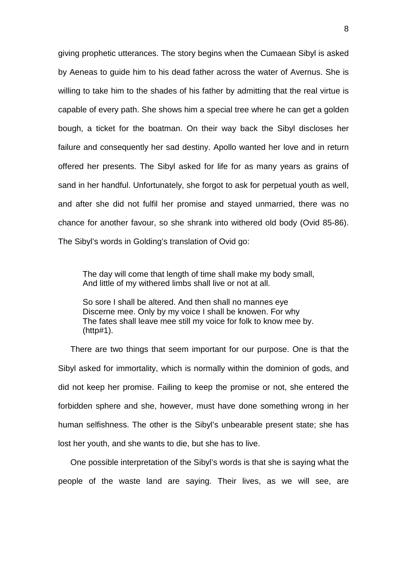giving prophetic utterances. The story begins when the Cumaean Sibyl is asked by Aeneas to guide him to his dead father across the water of Avernus. She is willing to take him to the shades of his father by admitting that the real virtue is capable of every path. She shows him a special tree where he can get a golden bough, a ticket for the boatman. On their way back the Sibyl discloses her failure and consequently her sad destiny. Apollo wanted her love and in return offered her presents. The Sibyl asked for life for as many years as grains of sand in her handful. Unfortunately, she forgot to ask for perpetual youth as well, and after she did not fulfil her promise and stayed unmarried, there was no chance for another favour, so she shrank into withered old body (Ovid 85-86). The Sibyl's words in Golding's translation of Ovid go:

The day will come that length of time shall make my body small, And little of my withered limbs shall live or not at all.

So sore I shall be altered. And then shall no mannes eye Discerne mee. Only by my voice I shall be knowen. For why The fates shall leave mee still my voice for folk to know mee by. (http#1).

There are two things that seem important for our purpose. One is that the Sibyl asked for immortality, which is normally within the dominion of gods, and did not keep her promise. Failing to keep the promise or not, she entered the forbidden sphere and she, however, must have done something wrong in her human selfishness. The other is the Sibyl's unbearable present state; she has lost her youth, and she wants to die, but she has to live.

One possible interpretation of the Sibyl's words is that she is saying what the people of the waste land are saying. Their lives, as we will see, are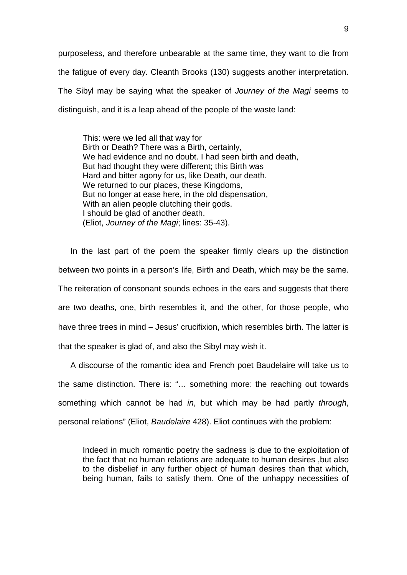purposeless, and therefore unbearable at the same time, they want to die from the fatigue of every day. Cleanth Brooks (130) suggests another interpretation. The Sibyl may be saying what the speaker of *Journey of the Magi* seems to distinguish, and it is a leap ahead of the people of the waste land:

This: were we led all that way for Birth or Death? There was a Birth, certainly, We had evidence and no doubt. I had seen birth and death, But had thought they were different; this Birth was Hard and bitter agony for us, like Death, our death. We returned to our places, these Kingdoms, But no longer at ease here, in the old dispensation, With an alien people clutching their gods. I should be glad of another death. (Eliot, *Journey of the Magi*; lines: 35-43).

In the last part of the poem the speaker firmly clears up the distinction between two points in a person's life, Birth and Death, which may be the same. The reiteration of consonant sounds echoes in the ears and suggests that there are two deaths, one, birth resembles it, and the other, for those people, who have three trees in mind – Jesus' crucifixion, which resembles birth. The latter is that the speaker is glad of, and also the Sibyl may wish it.

A discourse of the romantic idea and French poet Baudelaire will take us to the same distinction. There is: "… something more: the reaching out towards something which cannot be had *in*, but which may be had partly *through*, personal relations" (Eliot, *Baudelaire* 428). Eliot continues with the problem:

Indeed in much romantic poetry the sadness is due to the exploitation of the fact that no human relations are adequate to human desires ,but also to the disbelief in any further object of human desires than that which, being human, fails to satisfy them. One of the unhappy necessities of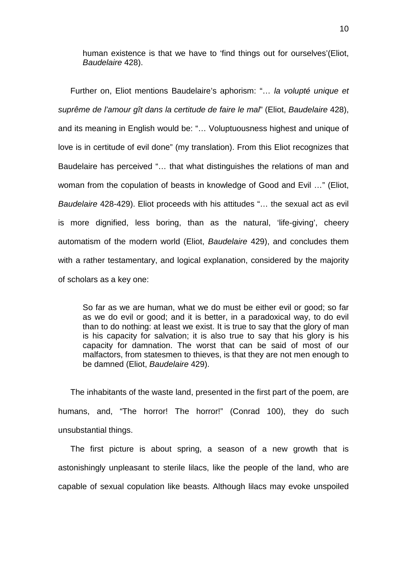human existence is that we have to 'find things out for ourselves'(Eliot, *Baudelaire* 428).

Further on, Eliot mentions Baudelaire's aphorism: "… *la volupté unique et suprême de l'amour gît dans la certitude de faire le mal*" (Eliot, *Baudelaire* 428), and its meaning in English would be: "… Voluptuousness highest and unique of love is in certitude of evil done" (my translation). From this Eliot recognizes that Baudelaire has perceived "… that what distinguishes the relations of man and woman from the copulation of beasts in knowledge of Good and Evil …" (Eliot, *Baudelaire* 428-429). Eliot proceeds with his attitudes "… the sexual act as evil is more dignified, less boring, than as the natural, 'life-giving', cheery automatism of the modern world (Eliot, *Baudelaire* 429), and concludes them with a rather testamentary, and logical explanation, considered by the majority of scholars as a key one:

So far as we are human, what we do must be either evil or good; so far as we do evil or good; and it is better, in a paradoxical way, to do evil than to do nothing: at least we exist. It is true to say that the glory of man is his capacity for salvation; it is also true to say that his glory is his capacity for damnation. The worst that can be said of most of our malfactors, from statesmen to thieves, is that they are not men enough to be damned (Eliot, *Baudelaire* 429).

The inhabitants of the waste land, presented in the first part of the poem, are humans, and, "The horror! The horror!" (Conrad 100), they do such unsubstantial things.

The first picture is about spring, a season of a new growth that is astonishingly unpleasant to sterile lilacs, like the people of the land, who are capable of sexual copulation like beasts. Although lilacs may evoke unspoiled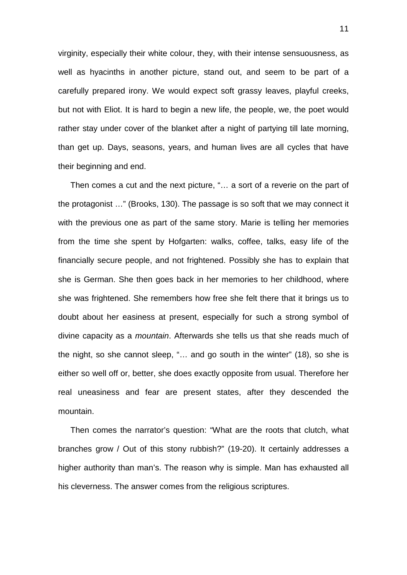virginity, especially their white colour, they, with their intense sensuousness, as well as hyacinths in another picture, stand out, and seem to be part of a carefully prepared irony. We would expect soft grassy leaves, playful creeks, but not with Eliot. It is hard to begin a new life, the people, we, the poet would rather stay under cover of the blanket after a night of partying till late morning, than get up. Days, seasons, years, and human lives are all cycles that have their beginning and end.

Then comes a cut and the next picture, "… a sort of a reverie on the part of the protagonist …" (Brooks, 130). The passage is so soft that we may connect it with the previous one as part of the same story. Marie is telling her memories from the time she spent by Hofgarten: walks, coffee, talks, easy life of the financially secure people, and not frightened. Possibly she has to explain that she is German. She then goes back in her memories to her childhood, where she was frightened. She remembers how free she felt there that it brings us to doubt about her easiness at present, especially for such a strong symbol of divine capacity as a *mountain*. Afterwards she tells us that she reads much of the night, so she cannot sleep, "… and go south in the winter" (18), so she is either so well off or, better, she does exactly opposite from usual. Therefore her real uneasiness and fear are present states, after they descended the mountain.

Then comes the narrator's question: "What are the roots that clutch, what branches grow / Out of this stony rubbish?" (19-20). It certainly addresses a higher authority than man's. The reason why is simple. Man has exhausted all his cleverness. The answer comes from the religious scriptures.

11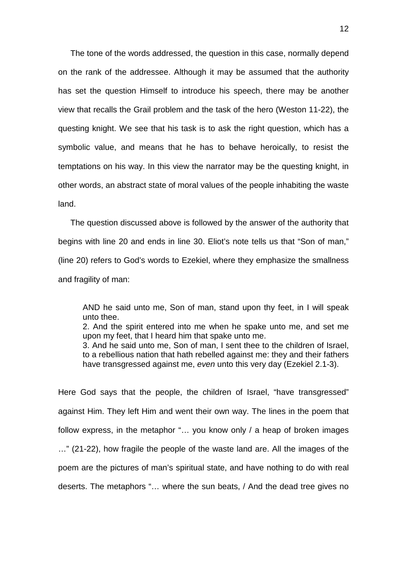The tone of the words addressed, the question in this case, normally depend on the rank of the addressee. Although it may be assumed that the authority has set the question Himself to introduce his speech, there may be another view that recalls the Grail problem and the task of the hero (Weston 11-22), the questing knight. We see that his task is to ask the right question, which has a symbolic value, and means that he has to behave heroically, to resist the temptations on his way. In this view the narrator may be the questing knight, in other words, an abstract state of moral values of the people inhabiting the waste land.

The question discussed above is followed by the answer of the authority that begins with line 20 and ends in line 30. Eliot's note tells us that "Son of man," (line 20) refers to God's words to Ezekiel, where they emphasize the smallness and fragility of man:

AND he said unto me, Son of man, stand upon thy feet, in I will speak unto thee.

2. And the spirit entered into me when he spake unto me, and set me upon my feet, that I heard him that spake unto me.

3. And he said unto me, Son of man, I sent thee to the children of Israel, to a rebellious nation that hath rebelled against me: they and their fathers have transgressed against me, *even* unto this very day (Ezekiel 2.1-3).

Here God says that the people, the children of Israel, "have transgressed" against Him. They left Him and went their own way. The lines in the poem that follow express, in the metaphor "… you know only / a heap of broken images …" (21-22), how fragile the people of the waste land are. All the images of the poem are the pictures of man's spiritual state, and have nothing to do with real deserts. The metaphors "… where the sun beats, / And the dead tree gives no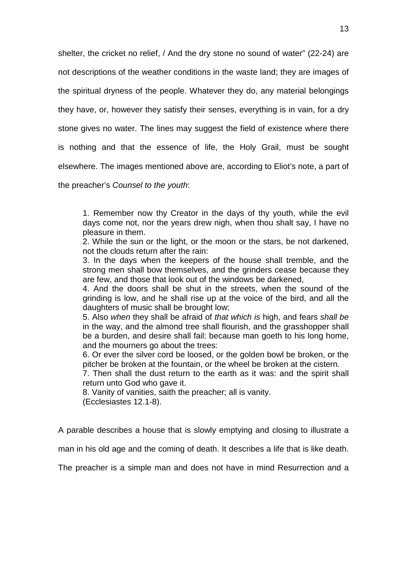shelter, the cricket no relief, / And the dry stone no sound of water" (22-24) are not descriptions of the weather conditions in the waste land; they are images of the spiritual dryness of the people. Whatever they do, any material belongings they have, or, however they satisfy their senses, everything is in vain, for a dry stone gives no water. The lines may suggest the field of existence where there is nothing and that the essence of life, the Holy Grail, must be sought elsewhere. The images mentioned above are, according to Eliot's note, a part of the preacher's *Counsel to the youth*:

1. Remember now thy Creator in the days of thy youth, while the evil days come not, nor the years drew nigh, when thou shalt say, I have no pleasure in them.

2. While the sun or the light, or the moon or the stars, be not darkened, not the clouds return after the rain:

3. In the days when the keepers of the house shall tremble, and the strong men shall bow themselves, and the grinders cease because they are few, and those that look out of the windows be darkened,

4. And the doors shall be shut in the streets, when the sound of the grinding is low, and he shall rise up at the voice of the bird, and all the daughters of music shall be brought low;

5. Also *when* they shall be afraid of *that which is* high, and fears *shall be* in the way, and the almond tree shall flourish, and the grasshopper shall be a burden, and desire shall fail: because man goeth to his long home, and the mourners go about the trees:

6. Or ever the silver cord be loosed, or the golden bowl be broken, or the pitcher be broken at the fountain, or the wheel be broken at the cistern.

7. Then shall the dust return to the earth as it was: and the spirit shall return unto God who gave it.

8. Vanity of vanities, saith the preacher; all is vanity.

(Ecclesiastes 12.1-8).

A parable describes a house that is slowly emptying and closing to illustrate a

man in his old age and the coming of death. It describes a life that is like death.

The preacher is a simple man and does not have in mind Resurrection and a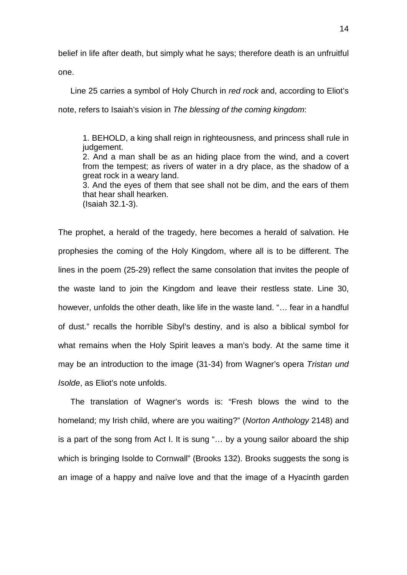belief in life after death, but simply what he says; therefore death is an unfruitful

one.

Line 25 carries a symbol of Holy Church in *red rock* and, according to Eliot's note, refers to Isaiah's vision in *The blessing of the coming kingdom*:

1. BEHOLD, a king shall reign in righteousness, and princess shall rule in judgement. 2. And a man shall be as an hiding place from the wind, and a covert from the tempest; as rivers of water in a dry place, as the shadow of a great rock in a weary land. 3. And the eyes of them that see shall not be dim, and the ears of them that hear shall hearken.

(Isaiah 32.1-3).

The prophet, a herald of the tragedy, here becomes a herald of salvation. He prophesies the coming of the Holy Kingdom, where all is to be different. The lines in the poem (25-29) reflect the same consolation that invites the people of the waste land to join the Kingdom and leave their restless state. Line 30, however, unfolds the other death, like life in the waste land. "… fear in a handful of dust." recalls the horrible Sibyl's destiny, and is also a biblical symbol for what remains when the Holy Spirit leaves a man's body. At the same time it may be an introduction to the image (31-34) from Wagner's opera *Tristan und Isolde*, as Eliot's note unfolds.

The translation of Wagner's words is: "Fresh blows the wind to the homeland; my Irish child, where are you waiting?" (*Norton Anthology* 2148) and is a part of the song from Act I. It is sung "… by a young sailor aboard the ship which is bringing Isolde to Cornwall" (Brooks 132). Brooks suggests the song is an image of a happy and naïve love and that the image of a Hyacinth garden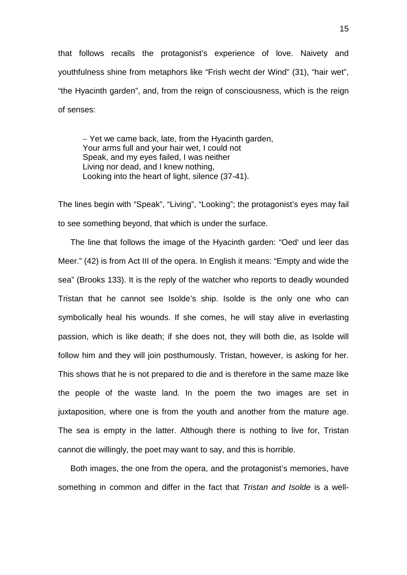that follows recalls the protagonist's experience of love. Naivety and youthfulness shine from metaphors like "Frish wecht der Wind" (31), "hair wet", "the Hyacinth garden", and, from the reign of consciousness, which is the reign of senses:

− Yet we came back, late, from the Hyacinth garden, Your arms full and your hair wet, I could not Speak, and my eyes failed, I was neither Living nor dead, and I knew nothing, Looking into the heart of light, silence (37-41).

The lines begin with "Speak", "Living", "Looking"; the protagonist's eyes may fail to see something beyond, that which is under the surface.

The line that follows the image of the Hyacinth garden: "Oed' und leer das Meer." (42) is from Act III of the opera. In English it means: "Empty and wide the sea" (Brooks 133). It is the reply of the watcher who reports to deadly wounded Tristan that he cannot see Isolde's ship. Isolde is the only one who can symbolically heal his wounds. If she comes, he will stay alive in everlasting passion, which is like death; if she does not, they will both die, as Isolde will follow him and they will join posthumously. Tristan, however, is asking for her. This shows that he is not prepared to die and is therefore in the same maze like the people of the waste land. In the poem the two images are set in juxtaposition, where one is from the youth and another from the mature age. The sea is empty in the latter. Although there is nothing to live for, Tristan cannot die willingly, the poet may want to say, and this is horrible.

Both images, the one from the opera, and the protagonist's memories, have something in common and differ in the fact that *Tristan and Isolde* is a well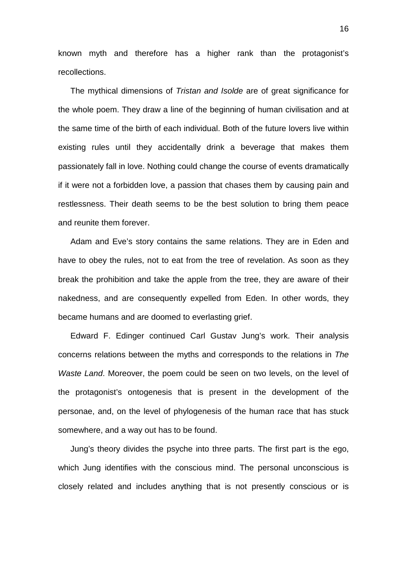known myth and therefore has a higher rank than the protagonist's recollections.

The mythical dimensions of *Tristan and Isolde* are of great significance for the whole poem. They draw a line of the beginning of human civilisation and at the same time of the birth of each individual. Both of the future lovers live within existing rules until they accidentally drink a beverage that makes them passionately fall in love. Nothing could change the course of events dramatically if it were not a forbidden love, a passion that chases them by causing pain and restlessness. Their death seems to be the best solution to bring them peace and reunite them forever.

Adam and Eve's story contains the same relations. They are in Eden and have to obey the rules, not to eat from the tree of revelation. As soon as they break the prohibition and take the apple from the tree, they are aware of their nakedness, and are consequently expelled from Eden. In other words, they became humans and are doomed to everlasting grief.

Edward F. Edinger continued Carl Gustav Jung's work. Their analysis concerns relations between the myths and corresponds to the relations in *The Waste Land*. Moreover, the poem could be seen on two levels, on the level of the protagonist's ontogenesis that is present in the development of the personae, and, on the level of phylogenesis of the human race that has stuck somewhere, and a way out has to be found.

Jung's theory divides the psyche into three parts. The first part is the ego, which Jung identifies with the conscious mind. The personal unconscious is closely related and includes anything that is not presently conscious or is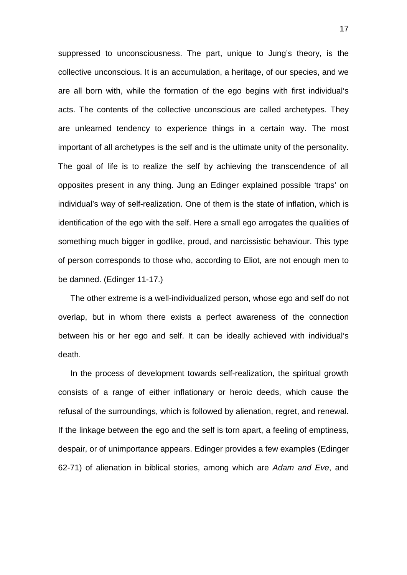suppressed to unconsciousness. The part, unique to Jung's theory, is the collective unconscious. It is an accumulation, a heritage, of our species, and we are all born with, while the formation of the ego begins with first individual's acts. The contents of the collective unconscious are called archetypes. They are unlearned tendency to experience things in a certain way. The most important of all archetypes is the self and is the ultimate unity of the personality. The goal of life is to realize the self by achieving the transcendence of all opposites present in any thing. Jung an Edinger explained possible 'traps' on individual's way of self-realization. One of them is the state of inflation, which is identification of the ego with the self. Here a small ego arrogates the qualities of something much bigger in godlike, proud, and narcissistic behaviour. This type of person corresponds to those who, according to Eliot, are not enough men to be damned. (Edinger 11-17.)

The other extreme is a well-individualized person, whose ego and self do not overlap, but in whom there exists a perfect awareness of the connection between his or her ego and self. It can be ideally achieved with individual's death.

In the process of development towards self-realization, the spiritual growth consists of a range of either inflationary or heroic deeds, which cause the refusal of the surroundings, which is followed by alienation, regret, and renewal. If the linkage between the ego and the self is torn apart, a feeling of emptiness, despair, or of unimportance appears. Edinger provides a few examples (Edinger 62-71) of alienation in biblical stories, among which are *Adam and Eve*, and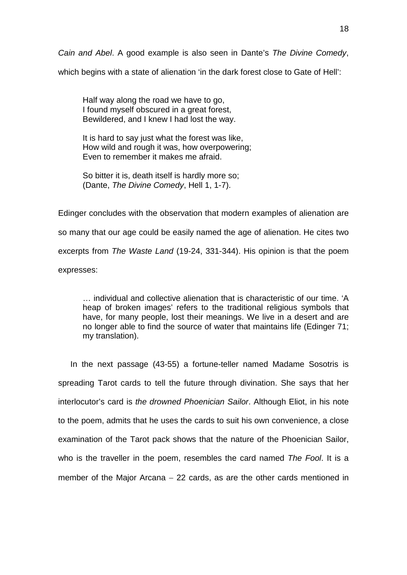*Cain and Abel*. A good example is also seen in Dante's *The Divine Comedy*,

which begins with a state of alienation 'in the dark forest close to Gate of Hell':

Half way along the road we have to go, I found myself obscured in a great forest, Bewildered, and I knew I had lost the way.

It is hard to say just what the forest was like, How wild and rough it was, how overpowering; Even to remember it makes me afraid.

So bitter it is, death itself is hardly more so; (Dante, *The Divine Comedy*, Hell 1, 1-7).

Edinger concludes with the observation that modern examples of alienation are so many that our age could be easily named the age of alienation. He cites two excerpts from *The Waste Land* (19-24, 331-344). His opinion is that the poem expresses:

… individual and collective alienation that is characteristic of our time. 'A heap of broken images' refers to the traditional religious symbols that have, for many people, lost their meanings. We live in a desert and are no longer able to find the source of water that maintains life (Edinger 71; my translation).

In the next passage (43-55) a fortune-teller named Madame Sosotris is spreading Tarot cards to tell the future through divination. She says that her interlocutor's card is *the drowned Phoenician Sailor*. Although Eliot, in his note to the poem, admits that he uses the cards to suit his own convenience, a close examination of the Tarot pack shows that the nature of the Phoenician Sailor, who is the traveller in the poem, resembles the card named *The Fool*. It is a member of the Major Arcana – 22 cards, as are the other cards mentioned in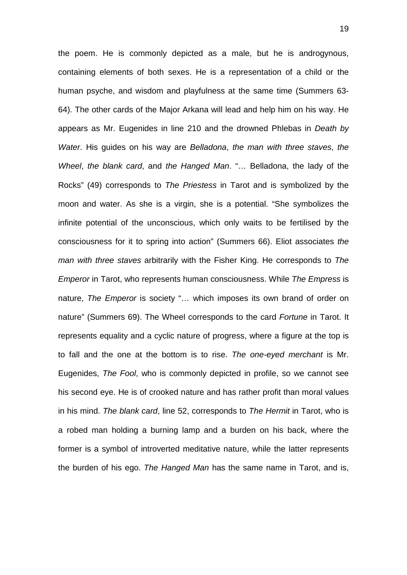the poem. He is commonly depicted as a male, but he is androgynous, containing elements of both sexes. He is a representation of a child or the human psyche, and wisdom and playfulness at the same time (Summers 63- 64). The other cards of the Major Arkana will lead and help him on his way. He appears as Mr. Eugenides in line 210 and the drowned Phlebas in *Death by Water*. His guides on his way are *Belladona*, *the man with three staves*, *the Wheel*, *the blank card*, and *the Hanged Man*. "… Belladona, the lady of the Rocks" (49) corresponds to *The Priestess* in Tarot and is symbolized by the moon and water. As she is a virgin, she is a potential. "She symbolizes the infinite potential of the unconscious, which only waits to be fertilised by the consciousness for it to spring into action" (Summers 66). Eliot associates *the man with three staves* arbitrarily with the Fisher King. He corresponds to *The Emperor* in Tarot, who represents human consciousness. While *The Empress* is nature, *The Emperor* is society "… which imposes its own brand of order on nature" (Summers 69). The Wheel corresponds to the card *Fortune* in Tarot. It represents equality and a cyclic nature of progress, where a figure at the top is to fall and the one at the bottom is to rise. *The one-eyed merchant* is Mr. Eugenides, *The Fool*, who is commonly depicted in profile, so we cannot see his second eye. He is of crooked nature and has rather profit than moral values in his mind. *The blank card*, line 52, corresponds to *The Hermit* in Tarot, who is a robed man holding a burning lamp and a burden on his back, where the former is a symbol of introverted meditative nature, while the latter represents the burden of his ego. *The Hanged Man* has the same name in Tarot, and is,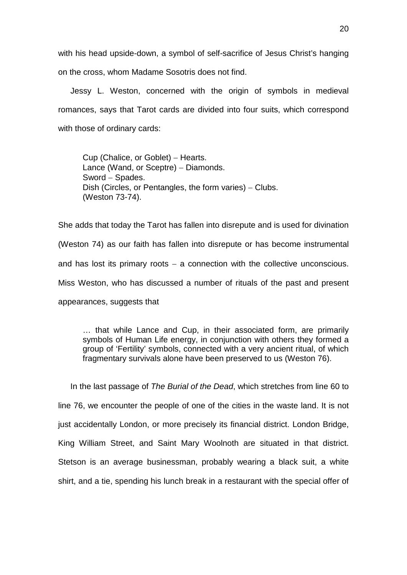with his head upside-down, a symbol of self-sacrifice of Jesus Christ's hanging on the cross, whom Madame Sosotris does not find.

Jessy L. Weston, concerned with the origin of symbols in medieval romances, says that Tarot cards are divided into four suits, which correspond with those of ordinary cards:

Cup (Chalice, or Goblet) – Hearts. Lance (Wand, or Sceptre) – Diamonds. Sword − Spades. Dish (Circles, or Pentangles, the form varies) – Clubs. (Weston 73-74).

She adds that today the Tarot has fallen into disrepute and is used for divination (Weston 74) as our faith has fallen into disrepute or has become instrumental and has lost its primary roots − a connection with the collective unconscious. Miss Weston, who has discussed a number of rituals of the past and present appearances, suggests that

… that while Lance and Cup, in their associated form, are primarily symbols of Human Life energy, in conjunction with others they formed a group of 'Fertility' symbols, connected with a very ancient ritual, of which fragmentary survivals alone have been preserved to us (Weston 76).

In the last passage of *The Burial of the Dead*, which stretches from line 60 to line 76, we encounter the people of one of the cities in the waste land. It is not just accidentally London, or more precisely its financial district. London Bridge, King William Street, and Saint Mary Woolnoth are situated in that district. Stetson is an average businessman, probably wearing a black suit, a white shirt, and a tie, spending his lunch break in a restaurant with the special offer of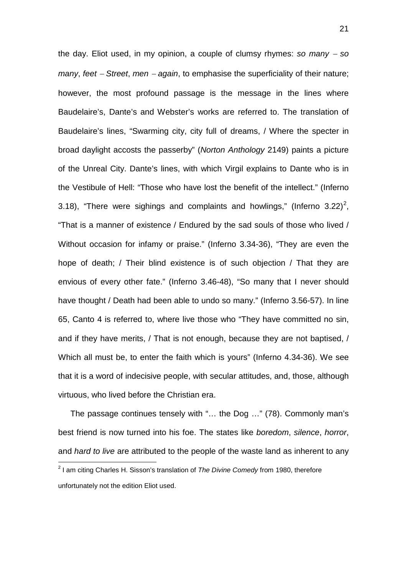the day. Eliot used, in my opinion, a couple of clumsy rhymes: *so many* <sup>−</sup> *so many*, *feet – Street*, *men – again*, to emphasise the superficiality of their nature; however, the most profound passage is the message in the lines where Baudelaire's, Dante's and Webster's works are referred to. The translation of Baudelaire's lines, "Swarming city, city full of dreams, / Where the specter in broad daylight accosts the passerby" (*Norton Anthology* 2149) paints a picture of the Unreal City. Dante's lines, with which Virgil explains to Dante who is in the Vestibule of Hell: "Those who have lost the benefit of the intellect." (Inferno 3.18), "There were sighings and complaints and howlings," (Inferno 3.[2](#page-23-0)2)<sup>2</sup>, "That is a manner of existence / Endured by the sad souls of those who lived / Without occasion for infamy or praise." (Inferno 3.34-36), "They are even the hope of death; / Their blind existence is of such objection / That they are envious of every other fate." (Inferno 3.46-48), "So many that I never should have thought / Death had been able to undo so many." (Inferno 3.56-57). In line 65, Canto 4 is referred to, where live those who "They have committed no sin, and if they have merits, / That is not enough, because they are not baptised, / Which all must be, to enter the faith which is yours" (Inferno 4.34-36). We see that it is a word of indecisive people, with secular attitudes, and, those, although virtuous, who lived before the Christian era.

The passage continues tensely with "… the Dog …" (78). Commonly man's best friend is now turned into his foe. The states like *boredom*, *silence*, *horror*, and *hard to live* are attributed to the people of the waste land as inherent to any

<span id="page-23-0"></span><sup>2</sup> I am citing Charles H. Sisson's translation of *The Divine Comedy* from 1980, therefore unfortunately not the edition Eliot used.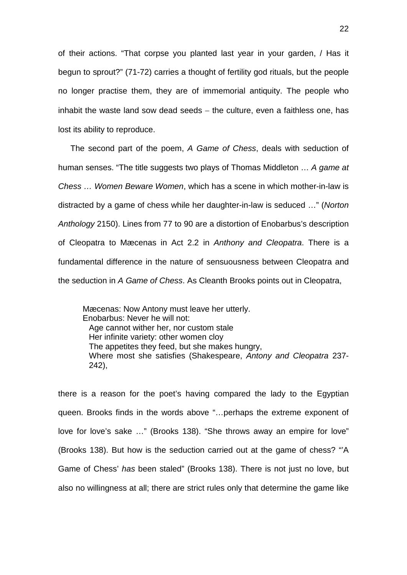of their actions. "That corpse you planted last year in your garden, / Has it begun to sprout?" (71-72) carries a thought of fertility god rituals, but the people no longer practise them, they are of immemorial antiquity. The people who inhabit the waste land sow dead seeds − the culture, even a faithless one, has lost its ability to reproduce.

The second part of the poem, *A Game of Chess*, deals with seduction of human senses. "The title suggests two plays of Thomas Middleton … *A game at Chess … Women Beware Women*, which has a scene in which mother-in-law is distracted by a game of chess while her daughter-in-law is seduced …" (*Norton Anthology* 2150). Lines from 77 to 90 are a distortion of Enobarbus's description of Cleopatra to Mæcenas in Act 2.2 in *Anthony and Cleopatra*. There is a fundamental difference in the nature of sensuousness between Cleopatra and the seduction in *A Game of Chess*. As Cleanth Brooks points out in Cleopatra,

Mæcenas: Now Antony must leave her utterly. Enobarbus: Never he will not: Age cannot wither her, nor custom stale Her infinite variety: other women cloy The appetites they feed, but she makes hungry, Where most she satisfies (Shakespeare, *Antony and Cleopatra* 237- 242),

there is a reason for the poet's having compared the lady to the Egyptian queen. Brooks finds in the words above "…perhaps the extreme exponent of love for love's sake …" (Brooks 138). "She throws away an empire for love" (Brooks 138). But how is the seduction carried out at the game of chess? "'A Game of Chess' *has* been staled" (Brooks 138). There is not just no love, but also no willingness at all; there are strict rules only that determine the game like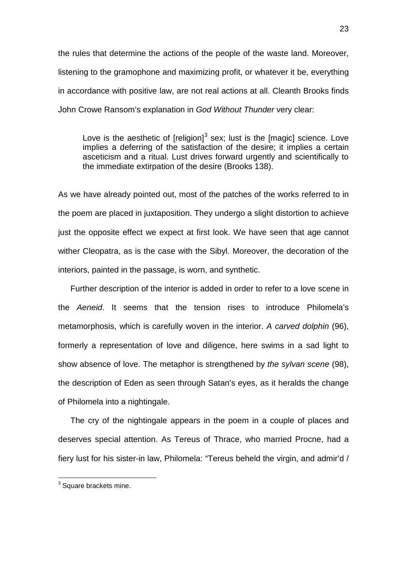the rules that determine the actions of the people of the waste land. Moreover, listening to the gramophone and maximizing profit, or whatever it be, everything in accordance with positive law, are not real actions at all. Cleanth Brooks finds John Crowe Ransom's explanation in *God Without Thunder* very clear:

Love is the aesthetic of [religion] $3$  sex; lust is the [magic] science. Love implies a deferring of the satisfaction of the desire; it implies a certain asceticism and a ritual. Lust drives forward urgently and scientifically to the immediate extirpation of the desire (Brooks 138).

As we have already pointed out, most of the patches of the works referred to in the poem are placed in juxtaposition. They undergo a slight distortion to achieve just the opposite effect we expect at first look. We have seen that age cannot wither Cleopatra, as is the case with the Sibyl. Moreover, the decoration of the interiors, painted in the passage, is worn, and synthetic.

Further description of the interior is added in order to refer to a love scene in the *Aeneid*. It seems that the tension rises to introduce Philomela's metamorphosis, which is carefully woven in the interior. *A carved dolphin* (96), formerly a representation of love and diligence, here swims in a sad light to show absence of love. The metaphor is strengthened by *the sylvan scene* (98), the description of Eden as seen through Satan's eyes, as it heralds the change of Philomela into a nightingale.

The cry of the nightingale appears in the poem in a couple of places and deserves special attention. As Tereus of Thrace, who married Procne, had a fiery lust for his sister-in law, Philomela: "Tereus beheld the virgin, and admir'd /

<span id="page-25-0"></span> $3$  Square brackets mine.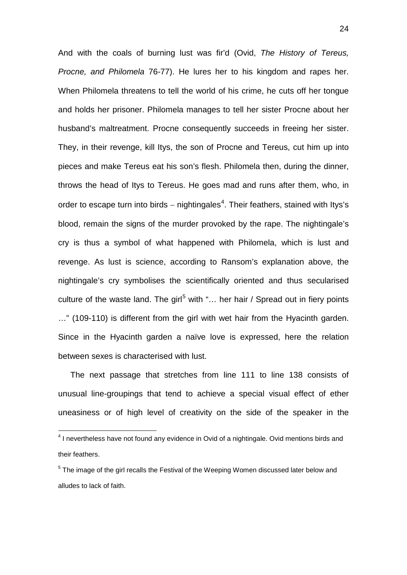And with the coals of burning lust was fir'd (Ovid, *The History of Tereus, Procne, and Philomela* 76-77). He lures her to his kingdom and rapes her. When Philomela threatens to tell the world of his crime, he cuts off her tongue and holds her prisoner. Philomela manages to tell her sister Procne about her husband's maltreatment. Procne consequently succeeds in freeing her sister. They, in their revenge, kill Itys, the son of Procne and Tereus, cut him up into pieces and make Tereus eat his son's flesh. Philomela then, during the dinner, throws the head of Itys to Tereus. He goes mad and runs after them, who, in order to escape turn into birds – nightingales<sup>[4](#page-26-0)</sup>. Their feathers, stained with Itys's blood, remain the signs of the murder provoked by the rape. The nightingale's cry is thus a symbol of what happened with Philomela, which is lust and revenge. As lust is science, according to Ransom's explanation above, the nightingale's cry symbolises the scientifically oriented and thus secularised culture of the waste land. The girl<sup>[5](#page-26-1)</sup> with "... her hair / Spread out in fiery points …" (109-110) is different from the girl with wet hair from the Hyacinth garden. Since in the Hyacinth garden a naïve love is expressed, here the relation between sexes is characterised with lust.

The next passage that stretches from line 111 to line 138 consists of unusual line-groupings that tend to achieve a special visual effect of ether uneasiness or of high level of creativity on the side of the speaker in the

<span id="page-26-0"></span><sup>&</sup>lt;sup>4</sup> I nevertheless have not found any evidence in Ovid of a nightingale. Ovid mentions birds and their feathers.

<span id="page-26-1"></span> $<sup>5</sup>$  The image of the girl recalls the Festival of the Weeping Women discussed later below and</sup> alludes to lack of faith.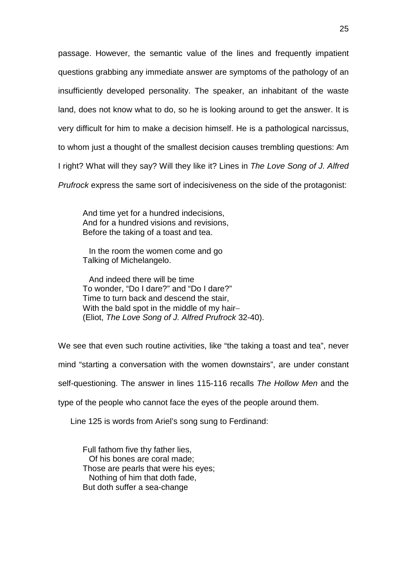passage. However, the semantic value of the lines and frequently impatient questions grabbing any immediate answer are symptoms of the pathology of an insufficiently developed personality. The speaker, an inhabitant of the waste land, does not know what to do, so he is looking around to get the answer. It is very difficult for him to make a decision himself. He is a pathological narcissus, to whom just a thought of the smallest decision causes trembling questions: Am I right? What will they say? Will they like it? Lines in *The Love Song of J. Alfred Prufrock* express the same sort of indecisiveness on the side of the protagonist:

And time yet for a hundred indecisions, And for a hundred visions and revisions, Before the taking of a toast and tea.

In the room the women come and go Talking of Michelangelo.

And indeed there will be time To wonder, "Do I dare?" and "Do I dare?" Time to turn back and descend the stair, With the bald spot in the middle of my hair-(Eliot, *The Love Song of J. Alfred Prufrock* 32-40).

We see that even such routine activities, like "the taking a toast and tea", never mind "starting a conversation with the women downstairs", are under constant self-questioning. The answer in lines 115-116 recalls *The Hollow Men* and the type of the people who cannot face the eyes of the people around them.

Line 125 is words from Ariel's song sung to Ferdinand:

Full fathom five thy father lies, Of his bones are coral made; Those are pearls that were his eyes; Nothing of him that doth fade, But doth suffer a sea-change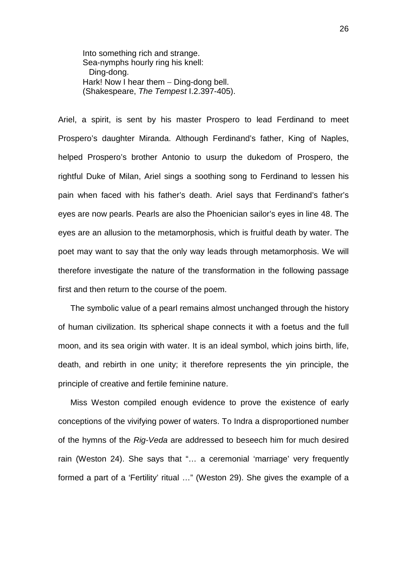Into something rich and strange. Sea-nymphs hourly ring his knell: Ding-dong. Hark! Now I hear them – Ding-dong bell. (Shakespeare, *The Tempest* I.2.397-405).

Ariel, a spirit, is sent by his master Prospero to lead Ferdinand to meet Prospero's daughter Miranda. Although Ferdinand's father, King of Naples, helped Prospero's brother Antonio to usurp the dukedom of Prospero, the rightful Duke of Milan, Ariel sings a soothing song to Ferdinand to lessen his pain when faced with his father's death. Ariel says that Ferdinand's father's eyes are now pearls. Pearls are also the Phoenician sailor's eyes in line 48. The eyes are an allusion to the metamorphosis, which is fruitful death by water. The poet may want to say that the only way leads through metamorphosis. We will therefore investigate the nature of the transformation in the following passage first and then return to the course of the poem.

The symbolic value of a pearl remains almost unchanged through the history of human civilization. Its spherical shape connects it with a foetus and the full moon, and its sea origin with water. It is an ideal symbol, which joins birth, life, death, and rebirth in one unity; it therefore represents the yin principle, the principle of creative and fertile feminine nature.

Miss Weston compiled enough evidence to prove the existence of early conceptions of the vivifying power of waters. To Indra a disproportioned number of the hymns of the *Rig-Veda* are addressed to beseech him for much desired rain (Weston 24). She says that "… a ceremonial 'marriage' very frequently formed a part of a 'Fertility' ritual …" (Weston 29). She gives the example of a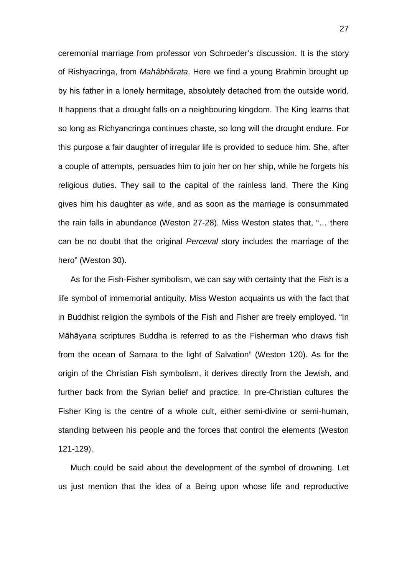ceremonial marriage from professor von Schroeder's discussion. It is the story of Rishyacringa, from *Mahâbhârata*. Here we find a young Brahmin brought up by his father in a lonely hermitage, absolutely detached from the outside world. It happens that a drought falls on a neighbouring kingdom. The King learns that so long as Richyancringa continues chaste, so long will the drought endure. For this purpose a fair daughter of irregular life is provided to seduce him. She, after a couple of attempts, persuades him to join her on her ship, while he forgets his religious duties. They sail to the capital of the rainless land. There the King gives him his daughter as wife, and as soon as the marriage is consummated the rain falls in abundance (Weston 27-28). Miss Weston states that, "… there can be no doubt that the original *Perceval* story includes the marriage of the hero" (Weston 30).

As for the Fish-Fisher symbolism, we can say with certainty that the Fish is a life symbol of immemorial antiquity. Miss Weston acquaints us with the fact that in Buddhist religion the symbols of the Fish and Fisher are freely employed. "In Māhāyana scriptures Buddha is referred to as the Fisherman who draws fish from the ocean of Samara to the light of Salvation" (Weston 120). As for the origin of the Christian Fish symbolism, it derives directly from the Jewish, and further back from the Syrian belief and practice. In pre-Christian cultures the Fisher King is the centre of a whole cult, either semi-divine or semi-human, standing between his people and the forces that control the elements (Weston 121-129).

Much could be said about the development of the symbol of drowning. Let us just mention that the idea of a Being upon whose life and reproductive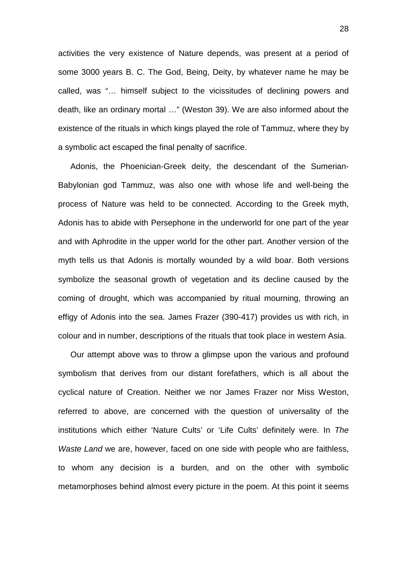activities the very existence of Nature depends, was present at a period of some 3000 years B. C. The God, Being, Deity, by whatever name he may be called, was "… himself subject to the vicissitudes of declining powers and death, like an ordinary mortal …" (Weston 39). We are also informed about the existence of the rituals in which kings played the role of Tammuz, where they by a symbolic act escaped the final penalty of sacrifice.

Adonis, the Phoenician-Greek deity, the descendant of the Sumerian-Babylonian god Tammuz, was also one with whose life and well-being the process of Nature was held to be connected. According to the Greek myth, Adonis has to abide with Persephone in the underworld for one part of the year and with Aphrodite in the upper world for the other part. Another version of the myth tells us that Adonis is mortally wounded by a wild boar. Both versions symbolize the seasonal growth of vegetation and its decline caused by the coming of drought, which was accompanied by ritual mourning, throwing an effigy of Adonis into the sea. James Frazer (390-417) provides us with rich, in colour and in number, descriptions of the rituals that took place in western Asia.

Our attempt above was to throw a glimpse upon the various and profound symbolism that derives from our distant forefathers, which is all about the cyclical nature of Creation. Neither we nor James Frazer nor Miss Weston, referred to above, are concerned with the question of universality of the institutions which either 'Nature Cults' or 'Life Cults' definitely were. In *The Waste Land* we are, however, faced on one side with people who are faithless, to whom any decision is a burden, and on the other with symbolic metamorphoses behind almost every picture in the poem. At this point it seems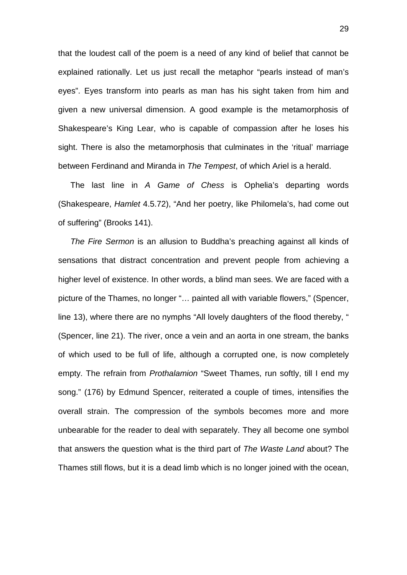that the loudest call of the poem is a need of any kind of belief that cannot be explained rationally. Let us just recall the metaphor "pearls instead of man's eyes". Eyes transform into pearls as man has his sight taken from him and given a new universal dimension. A good example is the metamorphosis of Shakespeare's King Lear, who is capable of compassion after he loses his sight. There is also the metamorphosis that culminates in the 'ritual' marriage between Ferdinand and Miranda in *The Tempest*, of which Ariel is a herald.

The last line in *A Game of Chess* is Ophelia's departing words (Shakespeare, *Hamlet* 4.5.72), "And her poetry, like Philomela's, had come out of suffering" (Brooks 141).

*The Fire Sermon* is an allusion to Buddha's preaching against all kinds of sensations that distract concentration and prevent people from achieving a higher level of existence. In other words, a blind man sees. We are faced with a picture of the Thames, no longer "… painted all with variable flowers," (Spencer, line 13), where there are no nymphs "All lovely daughters of the flood thereby, " (Spencer, line 21). The river, once a vein and an aorta in one stream, the banks of which used to be full of life, although a corrupted one, is now completely empty. The refrain from *Prothalamion* "Sweet Thames, run softly, till I end my song." (176) by Edmund Spencer, reiterated a couple of times, intensifies the overall strain. The compression of the symbols becomes more and more unbearable for the reader to deal with separately. They all become one symbol that answers the question what is the third part of *The Waste Land* about? The Thames still flows, but it is a dead limb which is no longer joined with the ocean,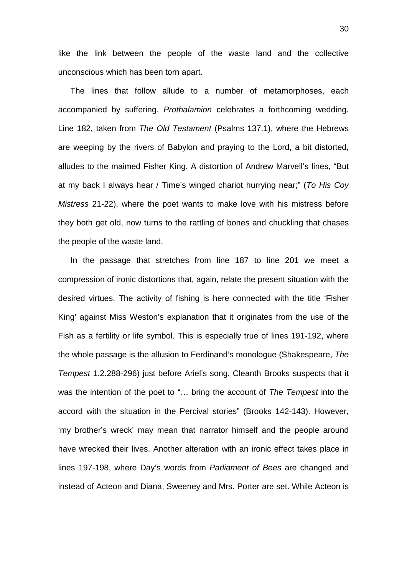like the link between the people of the waste land and the collective unconscious which has been torn apart.

The lines that follow allude to a number of metamorphoses, each accompanied by suffering. *Prothalamion* celebrates a forthcoming wedding. Line 182, taken from *The Old Testament* (Psalms 137.1), where the Hebrews are weeping by the rivers of Babylon and praying to the Lord, a bit distorted, alludes to the maimed Fisher King. A distortion of Andrew Marvell's lines, "But at my back I always hear / Time's winged chariot hurrying near;" (*To His Coy Mistress* 21-22), where the poet wants to make love with his mistress before they both get old, now turns to the rattling of bones and chuckling that chases the people of the waste land.

In the passage that stretches from line 187 to line 201 we meet a compression of ironic distortions that, again, relate the present situation with the desired virtues. The activity of fishing is here connected with the title 'Fisher King' against Miss Weston's explanation that it originates from the use of the Fish as a fertility or life symbol. This is especially true of lines 191-192, where the whole passage is the allusion to Ferdinand's monologue (Shakespeare, *The Tempest* 1.2.288-296) just before Ariel's song. Cleanth Brooks suspects that it was the intention of the poet to "… bring the account of *The Tempest* into the accord with the situation in the Percival stories" (Brooks 142-143). However, 'my brother's wreck' may mean that narrator himself and the people around have wrecked their lives. Another alteration with an ironic effect takes place in lines 197-198, where Day's words from *Parliament of Bees* are changed and instead of Acteon and Diana, Sweeney and Mrs. Porter are set. While Acteon is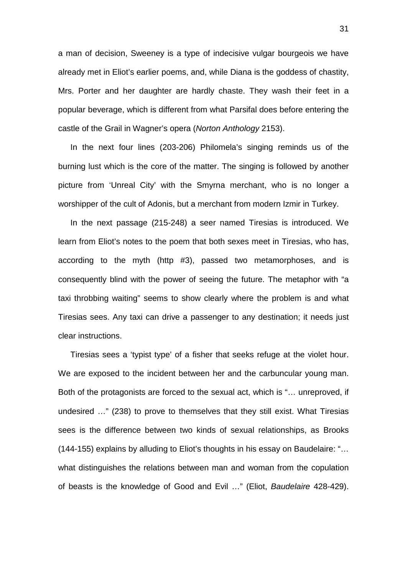a man of decision, Sweeney is a type of indecisive vulgar bourgeois we have already met in Eliot's earlier poems, and, while Diana is the goddess of chastity, Mrs. Porter and her daughter are hardly chaste. They wash their feet in a popular beverage, which is different from what Parsifal does before entering the castle of the Grail in Wagner's opera (*Norton Anthology* 2153).

In the next four lines (203-206) Philomela's singing reminds us of the burning lust which is the core of the matter. The singing is followed by another picture from 'Unreal City' with the Smyrna merchant, who is no longer a worshipper of the cult of Adonis, but a merchant from modern Izmir in Turkey.

In the next passage (215-248) a seer named Tiresias is introduced. We learn from Eliot's notes to the poem that both sexes meet in Tiresias, who has, according to the myth (http #3), passed two metamorphoses, and is consequently blind with the power of seeing the future. The metaphor with "a taxi throbbing waiting" seems to show clearly where the problem is and what Tiresias sees. Any taxi can drive a passenger to any destination; it needs just clear instructions.

Tiresias sees a 'typist type' of a fisher that seeks refuge at the violet hour. We are exposed to the incident between her and the carbuncular young man. Both of the protagonists are forced to the sexual act, which is "… unreproved, if undesired …" (238) to prove to themselves that they still exist. What Tiresias sees is the difference between two kinds of sexual relationships, as Brooks (144-155) explains by alluding to Eliot's thoughts in his essay on Baudelaire: "… what distinguishes the relations between man and woman from the copulation of beasts is the knowledge of Good and Evil …" (Eliot, *Baudelaire* 428-429).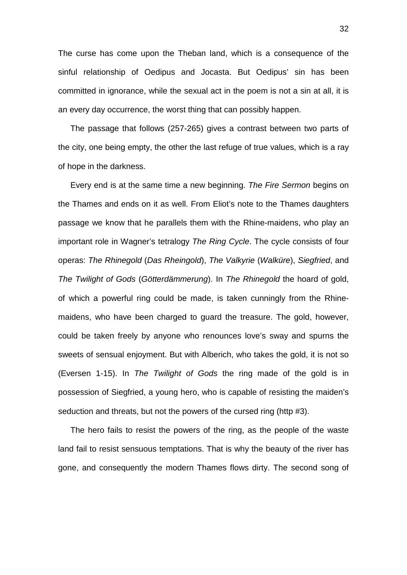The curse has come upon the Theban land, which is a consequence of the sinful relationship of Oedipus and Jocasta. But Oedipus' sin has been committed in ignorance, while the sexual act in the poem is not a sin at all, it is an every day occurrence, the worst thing that can possibly happen.

The passage that follows (257-265) gives a contrast between two parts of the city, one being empty, the other the last refuge of true values, which is a ray of hope in the darkness.

Every end is at the same time a new beginning. *The Fire Sermon* begins on the Thames and ends on it as well. From Eliot's note to the Thames daughters passage we know that he parallels them with the Rhine-maidens, who play an important role in Wagner's tetralogy *The Ring Cycle*. The cycle consists of four operas: *The Rhinegold* (*Das Rheingold*), *The Valkyrie* (*Walküre*), *Siegfried*, and *The Twilight of Gods* (*Götterdämmerung*). In *The Rhinegold* the hoard of gold, of which a powerful ring could be made, is taken cunningly from the Rhinemaidens, who have been charged to guard the treasure. The gold, however, could be taken freely by anyone who renounces love's sway and spurns the sweets of sensual enjoyment. But with Alberich, who takes the gold, it is not so (Eversen 1-15). In *The Twilight of Gods* the ring made of the gold is in possession of Siegfried, a young hero, who is capable of resisting the maiden's seduction and threats, but not the powers of the cursed ring (http #3).

The hero fails to resist the powers of the ring, as the people of the waste land fail to resist sensuous temptations. That is why the beauty of the river has gone, and consequently the modern Thames flows dirty. The second song of

32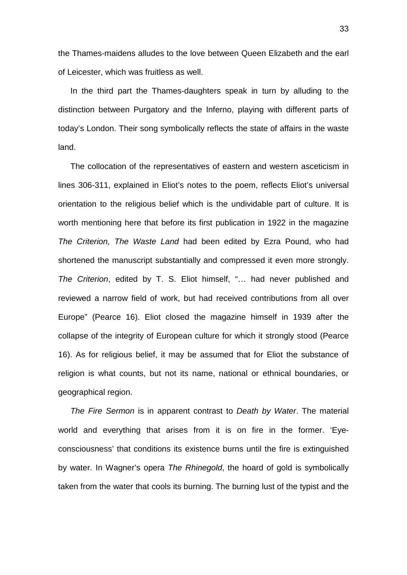the Thames-maidens alludes to the love between Queen Elizabeth and the earl of Leicester, which was fruitless as well.

In the third part the Thames-daughters speak in turn by alluding to the distinction between Purgatory and the Inferno, playing with different parts of today's London. Their song symbolically reflects the state of affairs in the waste land.

The collocation of the representatives of eastern and western asceticism in lines 306-311, explained in Eliot's notes to the poem, reflects Eliot's universal orientation to the religious belief which is the undividable part of culture. It is worth mentioning here that before its first publication in 1922 in the magazine *The Criterion, The Waste Land* had been edited by Ezra Pound, who had shortened the manuscript substantially and compressed it even more strongly. *The Criterion*, edited by T. S. Eliot himself, "… had never published and reviewed a narrow field of work, but had received contributions from all over Europe" (Pearce 16). Eliot closed the magazine himself in 1939 after the collapse of the integrity of European culture for which it strongly stood (Pearce 16). As for religious belief, it may be assumed that for Eliot the substance of religion is what counts, but not its name, national or ethnical boundaries, or geographical region.

*The Fire Sermon* is in apparent contrast to *Death by Water*. The material world and everything that arises from it is on fire in the former. 'Eyeconsciousness' that conditions its existence burns until the fire is extinguished by water. In Wagner's opera *The Rhinegold*, the hoard of gold is symbolically taken from the water that cools its burning. The burning lust of the typist and the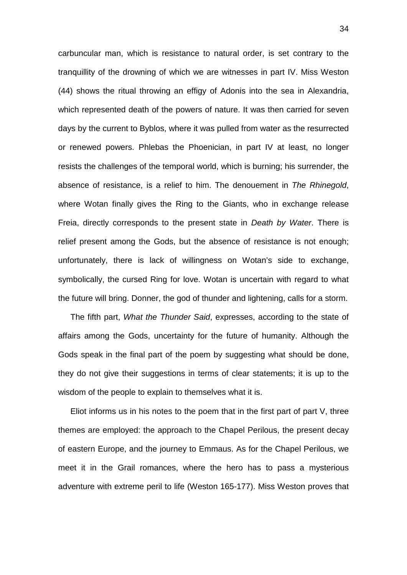carbuncular man, which is resistance to natural order, is set contrary to the tranquillity of the drowning of which we are witnesses in part IV. Miss Weston (44) shows the ritual throwing an effigy of Adonis into the sea in Alexandria, which represented death of the powers of nature. It was then carried for seven days by the current to Byblos, where it was pulled from water as the resurrected or renewed powers. Phlebas the Phoenician, in part IV at least, no longer resists the challenges of the temporal world, which is burning; his surrender, the absence of resistance, is a relief to him. The denouement in *The Rhinegold*, where Wotan finally gives the Ring to the Giants, who in exchange release Freia, directly corresponds to the present state in *Death by Water*. There is relief present among the Gods, but the absence of resistance is not enough; unfortunately, there is lack of willingness on Wotan's side to exchange, symbolically, the cursed Ring for love. Wotan is uncertain with regard to what the future will bring. Donner, the god of thunder and lightening, calls for a storm.

The fifth part, *What the Thunder Said*, expresses, according to the state of affairs among the Gods, uncertainty for the future of humanity. Although the Gods speak in the final part of the poem by suggesting what should be done, they do not give their suggestions in terms of clear statements; it is up to the wisdom of the people to explain to themselves what it is.

Eliot informs us in his notes to the poem that in the first part of part V, three themes are employed: the approach to the Chapel Perilous, the present decay of eastern Europe, and the journey to Emmaus. As for the Chapel Perilous, we meet it in the Grail romances, where the hero has to pass a mysterious adventure with extreme peril to life (Weston 165-177). Miss Weston proves that

34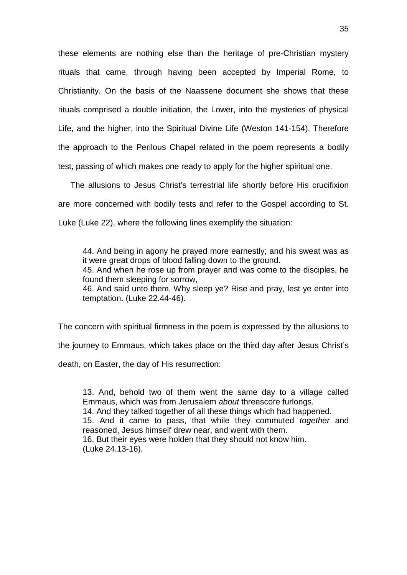these elements are nothing else than the heritage of pre-Christian mystery rituals that came, through having been accepted by Imperial Rome, to Christianity. On the basis of the Naassene document she shows that these rituals comprised a double initiation, the Lower, into the mysteries of physical Life, and the higher, into the Spiritual Divine Life (Weston 141-154). Therefore the approach to the Perilous Chapel related in the poem represents a bodily test, passing of which makes one ready to apply for the higher spiritual one.

The allusions to Jesus Christ's terrestrial life shortly before His crucifixion are more concerned with bodily tests and refer to the Gospel according to St. Luke (Luke 22), where the following lines exemplify the situation:

44. And being in agony he prayed more earnestly; and his sweat was as it were great drops of blood falling down to the ground. 45. And when he rose up from prayer and was come to the disciples, he found them sleeping for sorrow, 46. And said unto them, Why sleep ye? Rise and pray, lest ye enter into

The concern with spiritual firmness in the poem is expressed by the allusions to the journey to Emmaus, which takes place on the third day after Jesus Christ's death, on Easter, the day of His resurrection:

temptation. (Luke 22.44-46).

13. And, behold two of them went the same day to a village called Emmaus, which was from Jerusalem *about* threescore furlongs. 14. And they talked together of all these things which had happened. 15. And it came to pass, that while they commuted *together* and reasoned, Jesus himself drew near, and went with them. 16. But their eyes were holden that they should not know him. (Luke 24.13-16).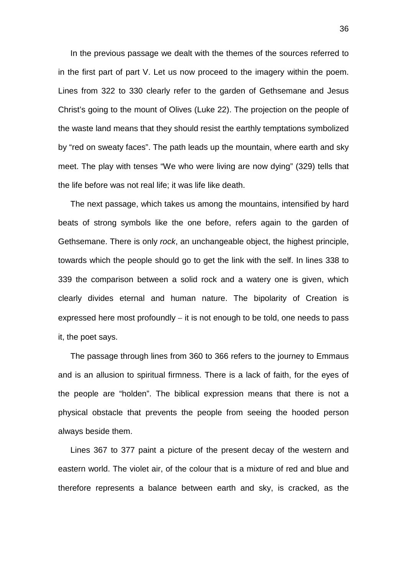In the previous passage we dealt with the themes of the sources referred to in the first part of part V. Let us now proceed to the imagery within the poem. Lines from 322 to 330 clearly refer to the garden of Gethsemane and Jesus Christ's going to the mount of Olives (Luke 22). The projection on the people of the waste land means that they should resist the earthly temptations symbolized by "red on sweaty faces". The path leads up the mountain, where earth and sky meet. The play with tenses "We who were living are now dying" (329) tells that the life before was not real life; it was life like death.

The next passage, which takes us among the mountains, intensified by hard beats of strong symbols like the one before, refers again to the garden of Gethsemane. There is only *rock*, an unchangeable object, the highest principle, towards which the people should go to get the link with the self. In lines 338 to 339 the comparison between a solid rock and a watery one is given, which clearly divides eternal and human nature. The bipolarity of Creation is expressed here most profoundly – it is not enough to be told, one needs to pass it, the poet says.

The passage through lines from 360 to 366 refers to the journey to Emmaus and is an allusion to spiritual firmness. There is a lack of faith, for the eyes of the people are "holden". The biblical expression means that there is not a physical obstacle that prevents the people from seeing the hooded person always beside them.

Lines 367 to 377 paint a picture of the present decay of the western and eastern world. The violet air, of the colour that is a mixture of red and blue and therefore represents a balance between earth and sky, is cracked, as the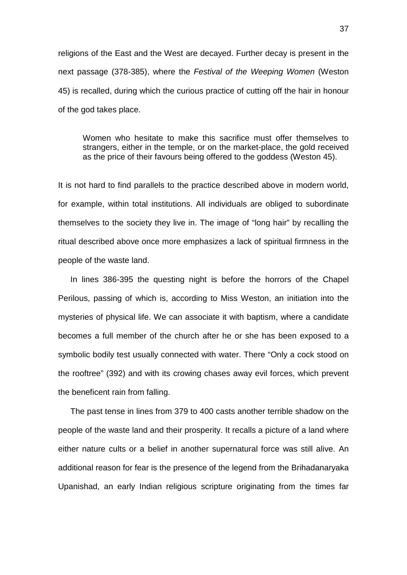religions of the East and the West are decayed. Further decay is present in the next passage (378-385), where the *Festival of the Weeping Women* (Weston 45) is recalled, during which the curious practice of cutting off the hair in honour of the god takes place.

Women who hesitate to make this sacrifice must offer themselves to strangers, either in the temple, or on the market-place, the gold received as the price of their favours being offered to the goddess (Weston 45).

It is not hard to find parallels to the practice described above in modern world, for example, within total institutions. All individuals are obliged to subordinate themselves to the society they live in. The image of "long hair" by recalling the ritual described above once more emphasizes a lack of spiritual firmness in the people of the waste land.

In lines 386-395 the questing night is before the horrors of the Chapel Perilous, passing of which is, according to Miss Weston, an initiation into the mysteries of physical life. We can associate it with baptism, where a candidate becomes a full member of the church after he or she has been exposed to a symbolic bodily test usually connected with water. There "Only a cock stood on the rooftree" (392) and with its crowing chases away evil forces, which prevent the beneficent rain from falling.

The past tense in lines from 379 to 400 casts another terrible shadow on the people of the waste land and their prosperity. It recalls a picture of a land where either nature cults or a belief in another supernatural force was still alive. An additional reason for fear is the presence of the legend from the Brihadanaryaka Upanishad, an early Indian religious scripture originating from the times far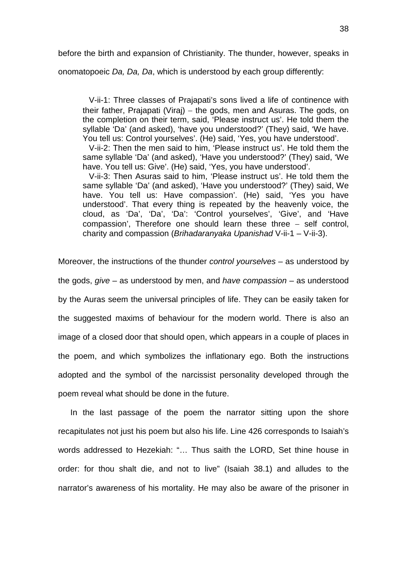before the birth and expansion of Christianity. The thunder, however, speaks in

onomatopoeic *Da, Da, Da*, which is understood by each group differently:

V-ii-1: Three classes of Prajapati's sons lived a life of continence with their father, Prajapati (Viraj) − the gods, men and Asuras. The gods, on the completion on their term, said, 'Please instruct us'. He told them the syllable 'Da' (and asked), 'have you understood?' (They) said, 'We have. You tell us: Control yourselves'. (He) said, 'Yes, you have understood'.

V-ii-2: Then the men said to him, 'Please instruct us'. He told them the same syllable 'Da' (and asked), 'Have you understood?' (They) said, 'We have. You tell us: Give'. (He) said, 'Yes, you have understood'.

V-ii-3: Then Asuras said to him, 'Please instruct us'. He told them the same syllable 'Da' (and asked), 'Have you understood?' (They) said, We have. You tell us: Have compassion'. (He) said, 'Yes you have understood'. That every thing is repeated by the heavenly voice, the cloud, as 'Da', 'Da', 'Da': 'Control yourselves', 'Give', and 'Have compassion', Therefore one should learn these three − self control, charity and compassion (*Brihadaranyaka Upanishad* V-ii-1 – V-ii-3).

Moreover, the instructions of the thunder *control yourselves* – as understood by the gods, *give* – as understood by men, and *have compassion* – as understood by the Auras seem the universal principles of life. They can be easily taken for the suggested maxims of behaviour for the modern world. There is also an image of a closed door that should open, which appears in a couple of places in the poem, and which symbolizes the inflationary ego. Both the instructions adopted and the symbol of the narcissist personality developed through the poem reveal what should be done in the future.

In the last passage of the poem the narrator sitting upon the shore recapitulates not just his poem but also his life. Line 426 corresponds to Isaiah's words addressed to Hezekiah: "… Thus saith the LORD, Set thine house in order: for thou shalt die, and not to live" (Isaiah 38.1) and alludes to the narrator's awareness of his mortality. He may also be aware of the prisoner in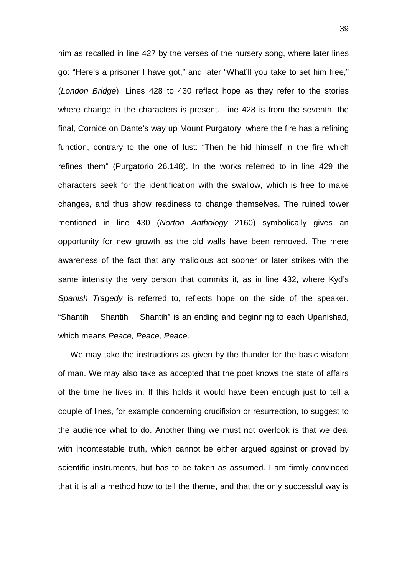him as recalled in line 427 by the verses of the nursery song, where later lines go: "Here's a prisoner I have got," and later "What'll you take to set him free," (*London Bridge*). Lines 428 to 430 reflect hope as they refer to the stories where change in the characters is present. Line 428 is from the seventh, the final, Cornice on Dante's way up Mount Purgatory, where the fire has a refining function, contrary to the one of lust: "Then he hid himself in the fire which refines them" (Purgatorio 26.148). In the works referred to in line 429 the characters seek for the identification with the swallow, which is free to make changes, and thus show readiness to change themselves. The ruined tower mentioned in line 430 (*Norton Anthology* 2160) symbolically gives an opportunity for new growth as the old walls have been removed. The mere awareness of the fact that any malicious act sooner or later strikes with the same intensity the very person that commits it, as in line 432, where Kyd's *Spanish Tragedy* is referred to, reflects hope on the side of the speaker. "Shantih Shantih Shantih" is an ending and beginning to each Upanishad, which means *Peace, Peace, Peace*.

We may take the instructions as given by the thunder for the basic wisdom of man. We may also take as accepted that the poet knows the state of affairs of the time he lives in. If this holds it would have been enough just to tell a couple of lines, for example concerning crucifixion or resurrection, to suggest to the audience what to do. Another thing we must not overlook is that we deal with incontestable truth, which cannot be either argued against or proved by scientific instruments, but has to be taken as assumed. I am firmly convinced that it is all a method how to tell the theme, and that the only successful way is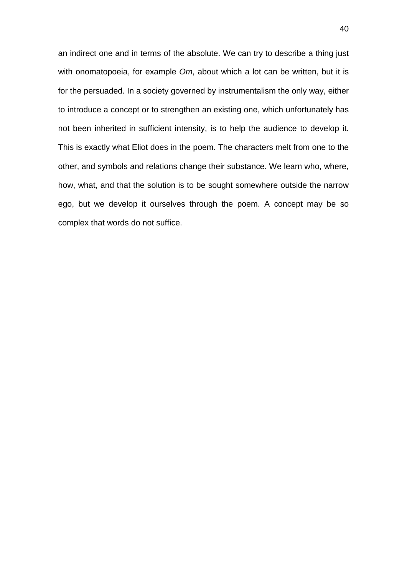an indirect one and in terms of the absolute. We can try to describe a thing just with onomatopoeia, for example *Om*, about which a lot can be written, but it is for the persuaded. In a society governed by instrumentalism the only way, either to introduce a concept or to strengthen an existing one, which unfortunately has not been inherited in sufficient intensity, is to help the audience to develop it. This is exactly what Eliot does in the poem. The characters melt from one to the other, and symbols and relations change their substance. We learn who, where, how, what, and that the solution is to be sought somewhere outside the narrow ego, but we develop it ourselves through the poem. A concept may be so complex that words do not suffice.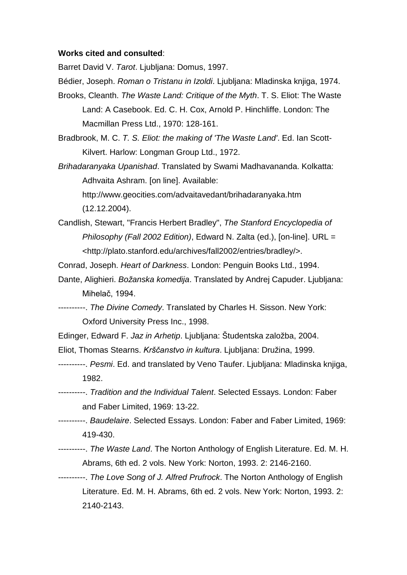#### **Works cited and consulted**:

Barret David V. *Tarot*. Ljubljana: Domus, 1997.

- Bédier, Joseph. *Roman o Tristanu in Izoldi*. Ljubljana: Mladinska knjiga, 1974.
- Brooks, Cleanth. *The Waste Land: Critique of the Myth*. T. S. Eliot: The Waste Land: A Casebook. Ed. C. H. Cox, Arnold P. Hinchliffe. London: The Macmillan Press Ltd., 1970: 128-161.
- Bradbrook, M. C. *T. S. Eliot: the making of 'The Waste Land'*. Ed. Ian Scott-Kilvert. Harlow: Longman Group Ltd., 1972.
- *Brihadaranyaka Upanishad*. Translated by Swami Madhavananda. Kolkatta: Adhvaita Ashram. [on line]. Available:

http://www.geocities.com/advaitavedant/brihadaranyaka.htm (12.12.2004).

Candlish, Stewart, "Francis Herbert Bradley", *The Stanford Encyclopedia of Philosophy (Fall 2002 Edition)*, Edward N. Zalta (ed.), [on-line]. URL = <http://plato.stanford.edu/archives/fall2002/entries/bradley/>.

Conrad, Joseph. *Heart of Darkness*. London: Penguin Books Ltd., 1994.

- Dante, Alighieri. *Božanska komedija*. Translated by Andrej Capuder. Ljubljana: Mihelač, 1994.
- ----------. *The Divine Comedy*. Translated by Charles H. Sisson. New York: Oxford University Press Inc., 1998.
- Edinger, Edward F. *Jaz in Arhetip*. Ljubljana: Študentska založba, 2004.
- Eliot, Thomas Stearns. *Krščanstvo in kultura*. Ljubljana: Družina, 1999.
- ----------. *Pesmi*. Ed. and translated by Veno Taufer. Ljubljana: Mladinska knjiga, 1982.
- ----------. *Tradition and the Individual Talent*. Selected Essays. London: Faber and Faber Limited, 1969: 13-22.
- ----------. *Baudelaire*. Selected Essays. London: Faber and Faber Limited, 1969: 419-430.
- ----------. *The Waste Land*. The Norton Anthology of English Literature. Ed. M. H. Abrams, 6th ed. 2 vols. New York: Norton, 1993. 2: 2146-2160.
- ----------. *The Love Song of J. Alfred Prufrock*. The Norton Anthology of English Literature. Ed. M. H. Abrams, 6th ed. 2 vols. New York: Norton, 1993. 2: 2140-2143.